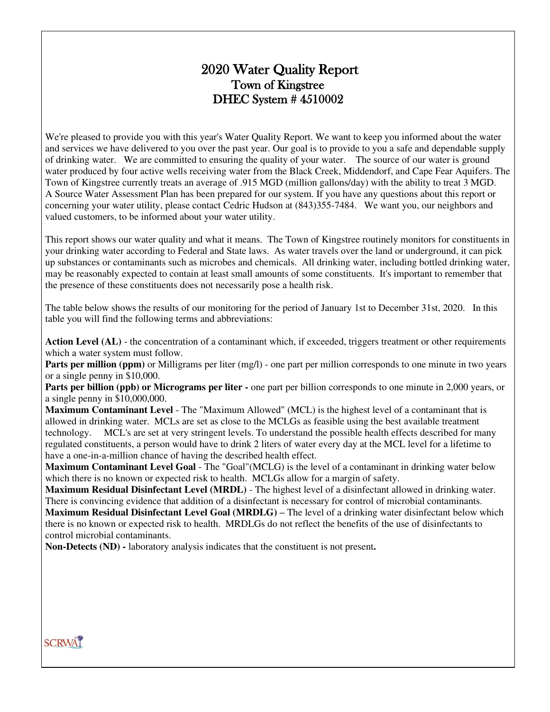# 2020 Water Quality Report Town of Kingstree DHEC System # 4510002

We're pleased to provide you with this year's Water Quality Report. We want to keep you informed about the water and services we have delivered to you over the past year. Our goal is to provide to you a safe and dependable supply of drinking water. We are committed to ensuring the quality of your water. The source of our water is ground water produced by four active wells receiving water from the Black Creek, Middendorf, and Cape Fear Aquifers. The Town of Kingstree currently treats an average of .915 MGD (million gallons/day) with the ability to treat 3 MGD. A Source Water Assessment Plan has been prepared for our system. If you have any questions about this report or concerning your water utility, please contact Cedric Hudson at (843)355-7484. We want you, our neighbors and valued customers, to be informed about your water utility.

This report shows our water quality and what it means. The Town of Kingstree routinely monitors for constituents in your drinking water according to Federal and State laws. As water travels over the land or underground, it can pick up substances or contaminants such as microbes and chemicals. All drinking water, including bottled drinking water, may be reasonably expected to contain at least small amounts of some constituents. It's important to remember that the presence of these constituents does not necessarily pose a health risk.

The table below shows the results of our monitoring for the period of January 1st to December 31st, 2020. In this table you will find the following terms and abbreviations:

Action Level (AL) - the concentration of a contaminant which, if exceeded, triggers treatment or other requirements which a water system must follow.

**Parts per million (ppm)** or Milligrams per liter (mg/l) - one part per million corresponds to one minute in two years or a single penny in \$10,000.

**Parts per billion (ppb) or Micrograms per liter -** one part per billion corresponds to one minute in 2,000 years, or a single penny in \$10,000,000.

**Maximum Contaminant Level** - The "Maximum Allowed" (MCL) is the highest level of a contaminant that is allowed in drinking water. MCLs are set as close to the MCLGs as feasible using the best available treatment technology. MCL's are set at very stringent levels. To understand the possible health effects described for many regulated constituents, a person would have to drink 2 liters of water every day at the MCL level for a lifetime to have a one-in-a-million chance of having the described health effect.

**Maximum Contaminant Level Goal** - The "Goal"(MCLG) is the level of a contaminant in drinking water below which there is no known or expected risk to health. MCLGs allow for a margin of safety.

**Maximum Residual Disinfectant Level (MRDL)** - The highest level of a disinfectant allowed in drinking water. There is convincing evidence that addition of a disinfectant is necessary for control of microbial contaminants. **Maximum Residual Disinfectant Level Goal (MRDLG) – The level of a drinking water disinfectant below which** there is no known or expected risk to health. MRDLGs do not reflect the benefits of the use of disinfectants to control microbial contaminants.

**Non-Detects (ND) -** laboratory analysis indicates that the constituent is not present**.** 

## **SCRWAT**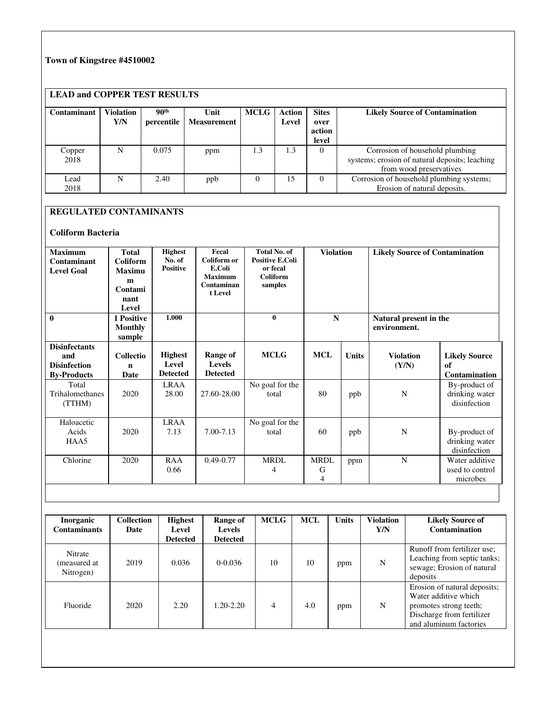### **Town of Kingstree #4510002**

### **LEAD and COPPER TEST RESULTS**

| Contaminant    | <b>Violation</b><br>Y/N | 90 <sup>th</sup><br>percentile | Unit<br><b>Measurement</b> | <b>MCLG</b> | Action<br>Level | <b>Sites</b><br>over<br>action<br>level | <b>Likely Source of Contamination</b>                                                                        |
|----------------|-------------------------|--------------------------------|----------------------------|-------------|-----------------|-----------------------------------------|--------------------------------------------------------------------------------------------------------------|
| Copper<br>2018 | N                       | 0.075                          | ppm                        | 1.3         | 1.3             | $\Omega$                                | Corrosion of household plumbing<br>systems; erosion of natural deposits; leaching<br>from wood preservatives |
| Lead<br>2018   | N                       | 2.40                           | ppb                        |             | 15              | $\Omega$                                | Corrosion of household plumbing systems;<br>Erosion of natural deposits.                                     |

### **REGULATED CONTAMINANTS**

#### **Coliform Bacteria**

| <b>Maximum</b><br>Contaminant<br><b>Level Goal</b>                       | <b>Total</b><br><b>Coliform</b><br><b>Maximu</b><br>m<br>Contami<br>nant<br>Level | <b>Highest</b><br>No. of<br><b>Positive</b> | Fecal<br>Coliform or<br>E.Coli<br><b>Maximum</b><br>Contaminan<br>t Level | <b>Total No. of</b><br><b>Positive E.Coli</b><br>or fecal<br>Coliform<br>samples | <b>Violation</b>            |              | <b>Likely Source of Contamination</b> |                                                    |
|--------------------------------------------------------------------------|-----------------------------------------------------------------------------------|---------------------------------------------|---------------------------------------------------------------------------|----------------------------------------------------------------------------------|-----------------------------|--------------|---------------------------------------|----------------------------------------------------|
| $\mathbf{0}$                                                             | 1 Positive<br><b>Monthly</b><br>sample                                            | 1.000                                       |                                                                           | $\mathbf{0}$                                                                     | $\mathbf N$<br>environment. |              | Natural present in the                |                                                    |
| <b>Disinfectants</b><br>and<br><b>Disinfection</b><br><b>By-Products</b> | <b>Collectio</b><br>n<br>Date                                                     | <b>Highest</b><br>Level<br><b>Detected</b>  | Range of<br><b>Levels</b><br><b>Detected</b>                              | <b>MCLG</b>                                                                      | <b>MCL</b>                  | <b>Units</b> | <b>Violation</b><br>(Y/N)             | <b>Likely Source</b><br>of<br><b>Contamination</b> |
| Total<br>Trihalomethanes<br>(TTHM)                                       | 2020                                                                              | <b>LRAA</b><br>28.00                        | 27.60-28.00                                                               | No goal for the<br>total                                                         | 80                          | ppb          | N                                     | By-product of<br>drinking water<br>disinfection    |
| Haloacetic<br>Acids<br>HAA5                                              | 2020                                                                              | <b>LRAA</b><br>7.13                         | 7.00-7.13                                                                 | No goal for the<br>total                                                         | 60                          | ppb          | N                                     | By-product of<br>drinking water<br>disinfection    |
| Chlorine                                                                 | 2020                                                                              | <b>RAA</b><br>0.66                          | $0.49 - 0.77$                                                             | <b>MRDL</b><br>4                                                                 | <b>MRDL</b><br>G<br>4       | ppm          | N                                     | Water additive<br>used to control<br>microbes      |

| <b>Inorganic</b><br><b>Contaminants</b> | <b>Collection</b><br>Date | <b>Highest</b><br>Level<br><b>Detected</b> | Range of<br><b>Levels</b><br><b>Detected</b> | <b>MCLG</b> | <b>MCL</b> | <b>Units</b> | <b>Violation</b><br>Y/N | <b>Likely Source of</b><br>Contamination                                                                                              |
|-----------------------------------------|---------------------------|--------------------------------------------|----------------------------------------------|-------------|------------|--------------|-------------------------|---------------------------------------------------------------------------------------------------------------------------------------|
| Nitrate<br>(measured at<br>Nitrogen)    | 2019                      | 0.036                                      | $0-0.036$                                    | 10          | 10         | ppm          | N                       | Runoff from fertilizer use;<br>Leaching from septic tanks;<br>sewage; Erosion of natural<br>deposits                                  |
| Fluoride                                | 2020                      | 2.20                                       | 1.20-2.20                                    | 4           | 4.0        | ppm          | N                       | Erosion of natural deposits;<br>Water additive which<br>promotes strong teeth;<br>Discharge from fertilizer<br>and aluminum factories |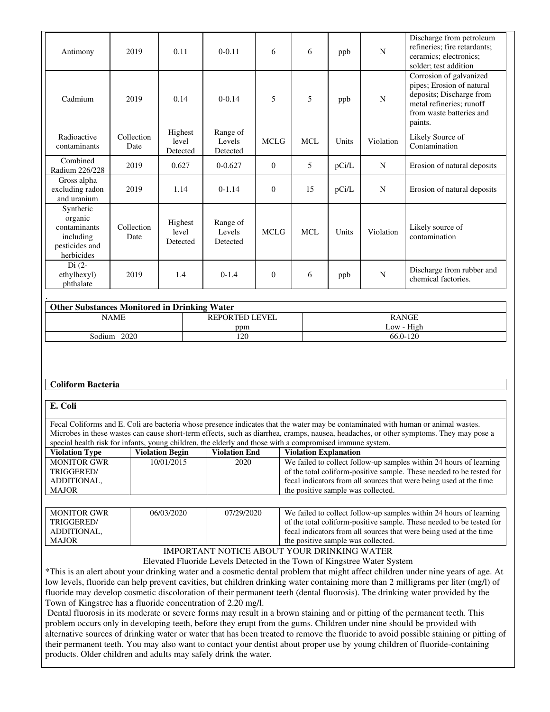| Antimony                                                                          | 2019               | 0.11                         | $0 - 0.11$                     | 6              | 6          | ppb   | $\mathbf N$ | Discharge from petroleum<br>refineries; fire retardants;<br>ceramics; electronics;<br>solder; test addition                                         |
|-----------------------------------------------------------------------------------|--------------------|------------------------------|--------------------------------|----------------|------------|-------|-------------|-----------------------------------------------------------------------------------------------------------------------------------------------------|
| Cadmium                                                                           | 2019               | 0.14                         | $0 - 0.14$                     | 5              | 5          | ppb   | N           | Corrosion of galvanized<br>pipes; Erosion of natural<br>deposits; Discharge from<br>metal refineries; runoff<br>from waste batteries and<br>paints. |
| Radioactive<br>contaminants                                                       | Collection<br>Date | Highest<br>level<br>Detected | Range of<br>Levels<br>Detected | <b>MCLG</b>    | <b>MCL</b> | Units | Violation   | Likely Source of<br>Contamination                                                                                                                   |
| Combined<br>Radium 226/228                                                        | 2019               | 0.627                        | $0 - 0.627$                    | $\overline{0}$ | 5          | pCi/L | N           | Erosion of natural deposits                                                                                                                         |
| Gross alpha<br>excluding radon<br>and uranium                                     | 2019               | 1.14                         | $0-1.14$                       | $\overline{0}$ | 15         | pCi/L | N           | Erosion of natural deposits                                                                                                                         |
| Synthetic<br>organic<br>contaminants<br>including<br>pesticides and<br>herbicides | Collection<br>Date | Highest<br>level<br>Detected | Range of<br>Levels<br>Detected | <b>MCLG</b>    | <b>MCL</b> | Units | Violation   | Likely source of<br>contamination                                                                                                                   |
| $Di(2-$<br>ethylhexyl)<br>phthalate                                               | 2019               | 1.4                          | $0-1.4$                        | $\mathbf{0}$   | 6          | ppb   | N           | Discharge from rubber and<br>chemical factories.                                                                                                    |
|                                                                                   |                    |                              |                                |                |            |       |             |                                                                                                                                                     |

| <b>Other Substances Monitored in Drinking Water</b> |                       |              |  |  |  |  |
|-----------------------------------------------------|-----------------------|--------------|--|--|--|--|
| NAME                                                | <b>REPORTED LEVEL</b> | <b>RANGE</b> |  |  |  |  |
|                                                     | ppm                   | Low - High   |  |  |  |  |
| 2020<br>Sodium                                      | .20                   | 66.0-120     |  |  |  |  |

#### **Coliform Bacteria**

#### **E. Coli**

Fecal Coliforms and E. Coli are bacteria whose presence indicates that the water may be contaminated with human or animal wastes. Microbes in these wastes can cause short-term effects, such as diarrhea, cramps, nausea, headaches, or other symptoms. They may pose a special health risk for infants, young children, the elderly and those with a compromised immune system.

|                       | $\sigma$ , $\sigma$ , $\sigma$ , $\sigma$ , $\sigma$ , $\sigma$ , $\sigma$ , $\sigma$ , $\sigma$ , $\sigma$ , $\sigma$ , $\sigma$ , $\sigma$ , $\sigma$ , $\sigma$ , $\sigma$ , $\sigma$ , $\sigma$ , $\sigma$ , $\sigma$ , $\sigma$ , $\sigma$ , $\sigma$ , $\sigma$ , $\sigma$ , $\sigma$ , $\sigma$ , $\sigma$ , $\sigma$ , $\sigma$ , $\sigma$ , $\sigma$ |                      |                                                                      |  |  |  |  |  |
|-----------------------|---------------------------------------------------------------------------------------------------------------------------------------------------------------------------------------------------------------------------------------------------------------------------------------------------------------------------------------------------------------|----------------------|----------------------------------------------------------------------|--|--|--|--|--|
| <b>Violation Type</b> | <b>Violation Begin</b>                                                                                                                                                                                                                                                                                                                                        | <b>Violation End</b> | <b>Violation Explanation</b>                                         |  |  |  |  |  |
| <b>MONITOR GWR</b>    | 10/01/2015                                                                                                                                                                                                                                                                                                                                                    | 2020                 | We failed to collect follow-up samples within 24 hours of learning   |  |  |  |  |  |
| TRIGGERED/            |                                                                                                                                                                                                                                                                                                                                                               |                      | of the total coliform-positive sample. These needed to be tested for |  |  |  |  |  |
| ADDITIONAL.           |                                                                                                                                                                                                                                                                                                                                                               |                      | fecal indicators from all sources that were being used at the time   |  |  |  |  |  |
| <b>MAJOR</b>          |                                                                                                                                                                                                                                                                                                                                                               |                      | the positive sample was collected.                                   |  |  |  |  |  |
|                       |                                                                                                                                                                                                                                                                                                                                                               |                      |                                                                      |  |  |  |  |  |

| <b>MONITOR GWR</b> | 06/03/2020 | 07/29/2020 | We failed to collect follow-up samples within 24 hours of learning   |
|--------------------|------------|------------|----------------------------------------------------------------------|
| TRIGGERED/         |            |            | of the total coliform-positive sample. These needed to be tested for |
| ADDITIONAL.        |            |            | fecal indicators from all sources that were being used at the time   |
| <b>MAJOR</b>       |            |            | the positive sample was collected.                                   |

### IMPORTANT NOTICE ABOUT YOUR DRINKING WATER

Elevated Fluoride Levels Detected in the Town of Kingstree Water System

\*This is an alert about your drinking water and a cosmetic dental problem that might affect children under nine years of age. At low levels, fluoride can help prevent cavities, but children drinking water containing more than 2 milligrams per liter (mg/l) of fluoride may develop cosmetic discoloration of their permanent teeth (dental fluorosis). The drinking water provided by the Town of Kingstree has a fluoride concentration of 2.20 mg/l.

 Dental fluorosis in its moderate or severe forms may result in a brown staining and or pitting of the permanent teeth. This problem occurs only in developing teeth, before they erupt from the gums. Children under nine should be provided with alternative sources of drinking water or water that has been treated to remove the fluoride to avoid possible staining or pitting of their permanent teeth. You may also want to contact your dentist about proper use by young children of fluoride-containing products. Older children and adults may safely drink the water.